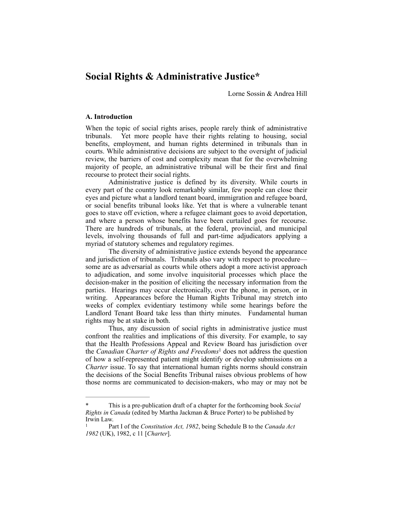# **Social Rights & Administrative Justice\***

Lorne Sossin & Andrea Hill

#### **A. Introduction**

When the topic of social rights arises, people rarely think of administrative tribunals. Yet more people have their rights relating to housing, social benefits, employment, and human rights determined in tribunals than in courts. While administrative decisions are subject to the oversight of judicial review, the barriers of cost and complexity mean that for the overwhelming majority of people, an administrative tribunal will be their first and final recourse to protect their social rights.

Administrative justice is defined by its diversity. While courts in every part of the country look remarkably similar, few people can close their eyes and picture what a landlord tenant board, immigration and refugee board, or social benefits tribunal looks like. Yet that is where a vulnerable tenant goes to stave off eviction, where a refugee claimant goes to avoid deportation, and where a person whose benefits have been curtailed goes for recourse. There are hundreds of tribunals, at the federal, provincial, and municipal levels, involving thousands of full and part-time adjudicators applying a myriad of statutory schemes and regulatory regimes.

The diversity of administrative justice extends beyond the appearance and jurisdiction of tribunals. Tribunals also vary with respect to procedure some are as adversarial as courts while others adopt a more activist approach to adjudication, and some involve inquisitorial processes which place the decision-maker in the position of eliciting the necessary information from the parties. Hearings may occur electronically, over the phone, in person, or in writing. Appearances before the Human Rights Tribunal may stretch into weeks of complex evidentiary testimony while some hearings before the Landlord Tenant Board take less than thirty minutes. Fundamental human rights may be at stake in both.

Thus, any discussion of social rights in administrative justice must confront the realities and implications of this diversity. For example, to say that the Health Professions Appeal and Review Board has jurisdiction over the *Canadian Charter of Rights and Freedoms*<sup>1</sup> does not address the question of how a self-represented patient might identify or develop submissions on a *Charter* issue. To say that international human rights norms should constrain the decisions of the Social Benefits Tribunal raises obvious problems of how those norms are communicated to decision-makers, who may or may not be

This is a pre-publication draft of a chapter for the forthcoming book *Social Rights in Canada* (edited by Martha Jackman & Bruce Porter) to be published by Irwin Law.

Part I of the *Constitution Act, 1982*, being Schedule B to the *Canada Act* <sup>1</sup> *1982* (UK), 1982, c 11 [*Charter*].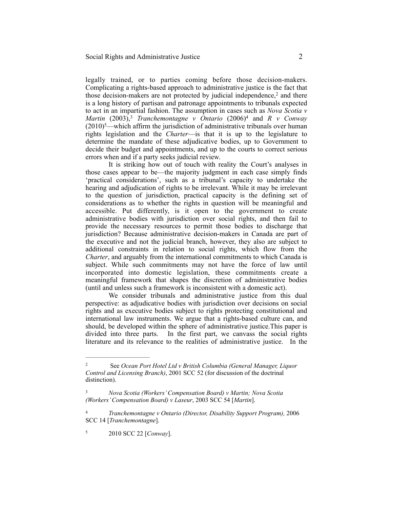legally trained, or to parties coming before those decision-makers. Complicating a rights-based approach to administrative justice is the fact that those decision-makers are not protected by judicial independence, $2$  and there is a long history of partisan and patronage appointments to tribunals expected to act in an impartial fashion. The assumption in cases such as *Nova Scotia v Martin* (2003),<sup>3</sup> *Tranchemontagne v Ontario* (2006)<sup>4</sup> and *R v Conway*  $(2010)$ <sup>5</sup>—which affirm the jurisdiction of administrative tribunals over human rights legislation and the *Charter*—is that it is up to the legislature to determine the mandate of these adjudicative bodies, up to Government to decide their budget and appointments, and up to the courts to correct serious errors when and if a party seeks judicial review.

It is striking how out of touch with reality the Court's analyses in those cases appear to be—the majority judgment in each case simply finds 'practical considerations', such as a tribunal's capacity to undertake the hearing and adjudication of rights to be irrelevant. While it may be irrelevant to the question of jurisdiction, practical capacity is the defining set of considerations as to whether the rights in question will be meaningful and accessible. Put differently, is it open to the government to create administrative bodies with jurisdiction over social rights, and then fail to provide the necessary resources to permit those bodies to discharge that jurisdiction? Because administrative decision-makers in Canada are part of the executive and not the judicial branch, however, they also are subject to additional constraints in relation to social rights, which flow from the *Charter*, and arguably from the international commitments to which Canada is subject. While such commitments may not have the force of law until incorporated into domestic legislation, these commitments create a meaningful framework that shapes the discretion of administrative bodies (until and unless such a framework is inconsistent with a domestic act).

We consider tribunals and administrative justice from this dual perspective: as adjudicative bodies with jurisdiction over decisions on social rights and as executive bodies subject to rights protecting constitutional and international law instruments. We argue that a rights-based culture can, and should, be developed within the sphere of administrative justice.This paper is divided into three parts. In the first part, we canvass the social rights literature and its relevance to the realities of administrative justice. In the

2010 SCC 22 [*Conway*]. <sup>5</sup>

See *Ocean Port Hotel Ltd v British Columbia (General Manager, Liquor* <sup>2</sup> *Control and Licensing Branch)*, 2001 SCC 52 (for discussion of the doctrinal distinction).

*Nova Scotia (Workers' Compensation Board) v Martin; Nova Scotia* <sup>3</sup> *(Workers' Compensation Board) v Laseur*, 2003 SCC 54 [*Martin*].

*Tranchemontagne v Ontario (Director, Disability Support Program),* 2006 4 SCC 14 [*Tranchemontagne*].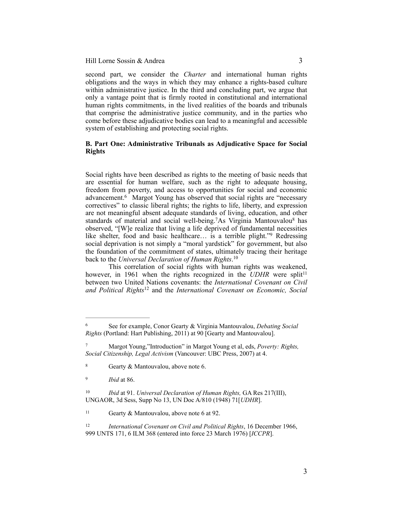second part, we consider the *Charter* and international human rights obligations and the ways in which they may enhance a rights-based culture within administrative justice. In the third and concluding part, we argue that only a vantage point that is firmly rooted in constitutional and international human rights commitments, in the lived realities of the boards and tribunals that comprise the administrative justice community, and in the parties who come before these adjudicative bodies can lead to a meaningful and accessible system of establishing and protecting social rights.

## **B. Part One: Administrative Tribunals as Adjudicative Space for Social Rights**

Social rights have been described as rights to the meeting of basic needs that are essential for human welfare, such as the right to adequate housing, freedom from poverty, and access to opportunities for social and economic advancement.<sup>6</sup> Margot Young has observed that social rights are "necessary correctives" to classic liberal rights; the rights to life, liberty, and expression are not meaningful absent adequate standards of living, education, and other standards of material and social well-being.<sup>7</sup>As Virginia Mantouvalou<sup>8</sup> has observed, "[W]e realize that living a life deprived of fundamental necessities like shelter, food and basic healthcare... is a terrible plight."<sup>9</sup> Redressing social deprivation is not simply a "moral yardstick" for government, but also the foundation of the commitment of states, ultimately tracing their heritage back to the *Universal Declaration of Human Rights*. 10

This correlation of social rights with human rights was weakened, however, in 1961 when the rights recognized in the *UDHR* were split<sup>11</sup> between two United Nations covenants: the *International Covenant on Civil*  and Political Rights<sup>12</sup> and the *International Covenant on Economic, Social* 

See for example, Conor Gearty & Virginia Mantouvalou, *Debating Social* <sup>6</sup> *Rights* (Portland: Hart Publishing, 2011) at 90 [Gearty and Mantouvalou].

Margot Young,"Introduction" in Margot Young et al, eds, *Poverty: Rights,* <sup>7</sup> *Social Citizenship, Legal Activism* (Vancouver: UBC Press, 2007) at 4.

<sup>&</sup>lt;sup>8</sup> Gearty & Mantouvalou, above note 6.

<sup>&</sup>lt;sup>9</sup> *Ibid* at 86.

<sup>&</sup>lt;sup>10</sup> *Ibid* at 91. *Universal Declaration of Human Rights*, GA Res 217(III), UNGAOR, 3d Sess, Supp No 13, UN Doc A/810 (1948) 71[*UDHR*].

 $11$  Gearty & Mantouvalou, above note 6 at 92.

<sup>&</sup>lt;sup>12</sup> *International Covenant on Civil and Political Rights*, 16 December 1966, 999 UNTS 171, 6 ILM 368 (entered into force 23 March 1976) [*ICCPR*].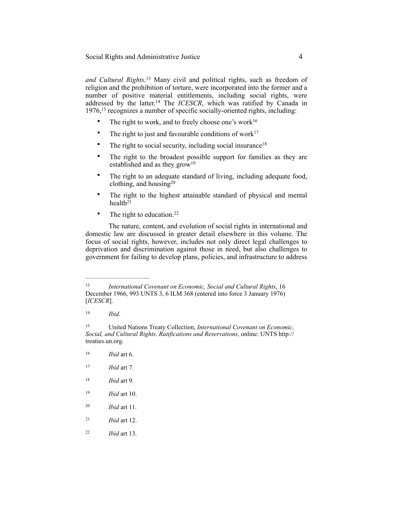*and Cultural Rights*.<sup>13</sup> Many civil and political rights, such as freedom of religion and the prohibition of torture, were incorporated into the former and a number of positive material entitlements, including social rights, were addressed by the latter.<sup>14</sup> The *ICESCR*, which was ratified by Canada in  $1976$ ,  $15$  recognizes a number of specific socially-oriented rights, including:

- The right to work, and to freely choose one's work $16$
- The right to just and favourable conditions of work $17$
- The right to social security, including social insurance<sup>18</sup>
- The right to the broadest possible support for families as they are established and as they grow<sup>19</sup>
- The right to an adequate standard of living, including adequate food, clothing, and housing $20$
- The right to the highest attainable standard of physical and mental health $2<sup>1</sup>$
- The right to education.<sup>22</sup>

The nature, content, and evolution of social rights in international and domestic law are discussed in greater detail elsewhere in this volume. The focus of social rights, however, includes not only direct legal challenges to deprivation and discrimination against those in need, but also challenges to government for failing to develop plans, policies, and infrastructure to address

*Ibid*. <sup>14</sup>

- $16$  *Ibid* art 6.
- *Ibid* art 7. <sup>17</sup>
- *Ibid* art 9. <sup>18</sup>
- 19 *Ibid* art 10.
- *Ibid* art 11. <sup>20</sup>
- $21$  *Ibid* art 12.
- *Ibid* art 13. <sup>22</sup>

*International Covenant on Economic, Social and Cultural Rights*, 16 13 December 1966, 993 UNTS 3, 6 ILM 368 (entered into force 3 January 1976) [*ICESCR*].

United Nations Treaty Collection, *International Covenant on Economic,* <sup>15</sup> *Social, and Cultural Rights*. *Ratifications and Reservations*, online: UNTS http:// treaties.un.org.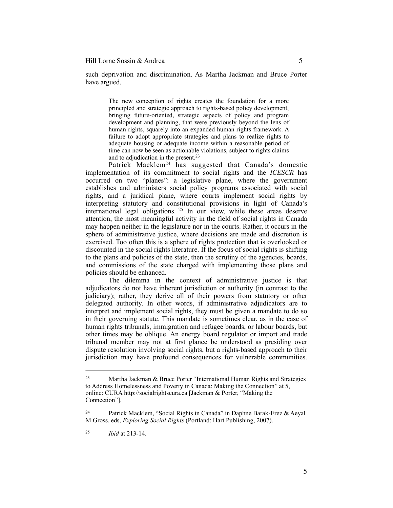such deprivation and discrimination. As Martha Jackman and Bruce Porter have argued,

> The new conception of rights creates the foundation for a more principled and strategic approach to rights-based policy development, bringing future-oriented, strategic aspects of policy and program development and planning, that were previously beyond the lens of human rights, squarely into an expanded human rights framework. A failure to adopt appropriate strategies and plans to realize rights to adequate housing or adequate income within a reasonable period of time can now be seen as actionable violations, subject to rights claims and to adjudication in the present.<sup>23</sup>

Patrick Macklem<sup>24</sup> has suggested that Canada's domestic implementation of its commitment to social rights and the *ICESCR* has occurred on two "planes": a legislative plane, where the government establishes and administers social policy programs associated with social rights, and a juridical plane, where courts implement social rights by interpreting statutory and constitutional provisions in light of Canada's international legal obligations.  $25$  In our view, while these areas deserve attention, the most meaningful activity in the field of social rights in Canada may happen neither in the legislature nor in the courts. Rather, it occurs in the sphere of administrative justice, where decisions are made and discretion is exercised. Too often this is a sphere of rights protection that is overlooked or discounted in the social rights literature. If the focus of social rights is shifting to the plans and policies of the state, then the scrutiny of the agencies, boards, and commissions of the state charged with implementing those plans and policies should be enhanced.

The dilemma in the context of administrative justice is that adjudicators do not have inherent jurisdiction or authority (in contrast to the judiciary); rather, they derive all of their powers from statutory or other delegated authority. In other words, if administrative adjudicators are to interpret and implement social rights, they must be given a mandate to do so in their governing statute. This mandate is sometimes clear, as in the case of human rights tribunals, immigration and refugee boards, or labour boards, but other times may be oblique. An energy board regulator or import and trade tribunal member may not at first glance be understood as presiding over dispute resolution involving social rights, but a rights-based approach to their jurisdiction may have profound consequences for vulnerable communities.

<sup>23</sup> Martha Jackman & Bruce Porter "International Human Rights and Strategies to Address Homelessness and Poverty in Canada: Making the Connection" at 5, online: CURA [http://socialrightscura.ca](http://socialrightscura.ca/) [Jackman & Porter, "Making the Connection"].

Patrick Macklem, "Social Rights in Canada" in Daphne Barak-Erez & Aeyal 24 M Gross, eds, *Exploring Social Rights* (Portland: Hart Publishing, 2007).

*Ibid* at 213-14. <sup>25</sup>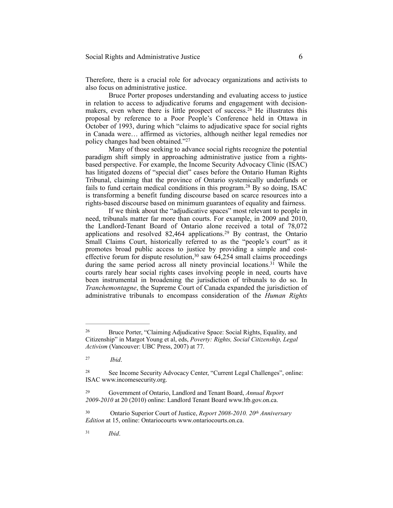Therefore, there is a crucial role for advocacy organizations and activists to also focus on administrative justice.

Bruce Porter proposes understanding and evaluating access to justice in relation to access to adjudicative forums and engagement with decisionmakers, even where there is little prospect of success.<sup>26</sup> He illustrates this proposal by reference to a Poor People's Conference held in Ottawa in October of 1993, during which "claims to adjudicative space for social rights in Canada were… affirmed as victories, although neither legal remedies nor policy changes had been obtained."27

Many of those seeking to advance social rights recognize the potential paradigm shift simply in approaching administrative justice from a rightsbased perspective. For example, the Income Security Advocacy Clinic (ISAC) has litigated dozens of "special diet" cases before the Ontario Human Rights Tribunal, claiming that the province of Ontario systemically underfunds or fails to fund certain medical conditions in this program.<sup>28</sup> By so doing, ISAC is transforming a benefit funding discourse based on scarce resources into a rights-based discourse based on minimum guarantees of equality and fairness.

If we think about the "adjudicative spaces" most relevant to people in need, tribunals matter far more than courts. For example, in 2009 and 2010, the Landlord-Tenant Board of Ontario alone received a total of 78,072 applications and resolved  $82,464$  applications.<sup>29</sup> By contrast, the Ontario Small Claims Court, historically referred to as the "people's court" as it promotes broad public access to justice by providing a simple and costeffective forum for dispute resolution,  $30$  saw  $64,254$  small claims proceedings during the same period across all ninety provincial locations.<sup>31</sup> While the courts rarely hear social rights cases involving people in need, courts have been instrumental in broadening the jurisdiction of tribunals to do so. In *Tranchemontagne*, the Supreme Court of Canada expanded the jurisdiction of administrative tribunals to encompass consideration of the *Human Rights* 

Bruce Porter, "Claiming Adjudicative Space: Social Rights, Equality, and 26 Citizenship" in Margot Young et al, eds, *Poverty: Rights, Social Citizenship, Legal Activism* (Vancouver: UBC Press, 2007) at 77.

*Ibid*. <sup>27</sup>

See Income Security Advocacy Center, "Current Legal Challenges", online: 28 ISAC [www.incomesecurity.org](http://www.incomesecurity.org).

Government of Ontario, Landlord and Tenant Board, *Annual Report* <sup>29</sup> *2009-2010* at 20 (2010) online: Landlord Tenant Board www.ltb.gov.on.ca.

<sup>&</sup>lt;sup>30</sup> Ontario Superior Court of Justice, *Report 2008-2010. 20<sup>th</sup> Anniversary Edition* at 15, online: Ontariocourts www.ontariocourts.on.ca.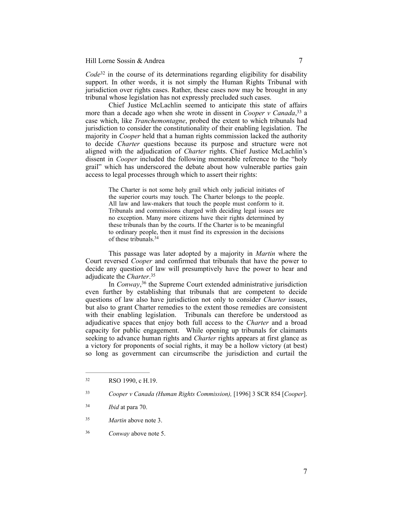$Code<sup>32</sup>$  in the course of its determinations regarding eligibility for disability support. In other words, it is not simply the Human Rights Tribunal with jurisdiction over rights cases. Rather, these cases now may be brought in any tribunal whose legislation has not expressly precluded such cases.

Chief Justice McLachlin seemed to anticipate this state of affairs more than a decade ago when she wrote in dissent in *Cooper v Canada*,<sup>33</sup> a case which, like *Tranchemontagne*, probed the extent to which tribunals had jurisdiction to consider the constitutionality of their enabling legislation. The majority in *Cooper* held that a human rights commission lacked the authority to decide *Charter* questions because its purpose and structure were not aligned with the adjudication of *Charter* rights. Chief Justice McLachlin's dissent in *Cooper* included the following memorable reference to the "holy grail" which has underscored the debate about how vulnerable parties gain access to legal processes through which to assert their rights:

> The Charter is not some holy grail which only judicial initiates of the superior courts may touch. The Charter belongs to the people. All law and law-makers that touch the people must conform to it. Tribunals and commissions charged with deciding legal issues are no exception. Many more citizens have their rights determined by these tribunals than by the courts. If the Charter is to be meaningful to ordinary people, then it must find its expression in the decisions of these tribunals.34

This passage was later adopted by a majority in *Martin* where the Court reversed *Cooper* and confirmed that tribunals that have the power to decide any question of law will presumptively have the power to hear and adjudicate the *Charter*. 35

In *Conway*,<sup>36</sup> the Supreme Court extended administrative jurisdiction even further by establishing that tribunals that are competent to decide questions of law also have jurisdiction not only to consider *Charter* issues, but also to grant Charter remedies to the extent those remedies are consistent with their enabling legislation. Tribunals can therefore be understood as adjudicative spaces that enjoy both full access to the *Charter* and a broad capacity for public engagement. While opening up tribunals for claimants seeking to advance human rights and *Charter* rights appears at first glance as a victory for proponents of social rights, it may be a hollow victory (at best) so long as government can circumscribe the jurisdiction and curtail the

<sup>32</sup> RSO 1990, c H.19.

*Cooper v Canada (Human Rights Commission),* [1996] 3 SCR 854 [*Cooper*]. <sup>33</sup>

*Ibid* at para 70. <sup>34</sup>

<sup>&</sup>lt;sup>35</sup> *Martin* above note 3.

*Conway* above note 5. <sup>36</sup>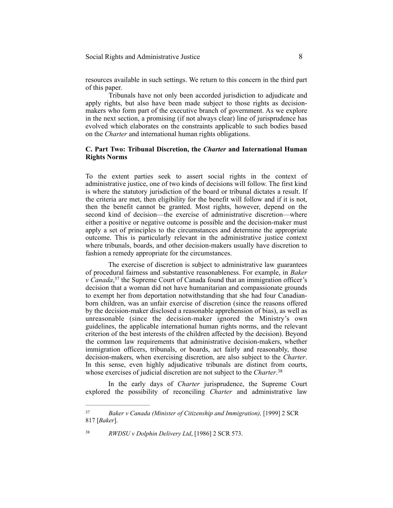### Social Rights and Administrative Justice 8

resources available in such settings. We return to this concern in the third part of this paper.

Tribunals have not only been accorded jurisdiction to adjudicate and apply rights, but also have been made subject to those rights as decisionmakers who form part of the executive branch of government. As we explore in the next section, a promising (if not always clear) line of jurisprudence has evolved which elaborates on the constraints applicable to such bodies based on the *Charter* and international human rights obligations.

## **C. Part Two: Tribunal Discretion, the** *Charter* **and International Human Rights Norms**

To the extent parties seek to assert social rights in the context of administrative justice, one of two kinds of decisions will follow. The first kind is where the statutory jurisdiction of the board or tribunal dictates a result. If the criteria are met, then eligibility for the benefit will follow and if it is not, then the benefit cannot be granted. Most rights, however, depend on the second kind of decision—the exercise of administrative discretion—where either a positive or negative outcome is possible and the decision-maker must apply a set of principles to the circumstances and determine the appropriate outcome. This is particularly relevant in the administrative justice context where tribunals, boards, and other decision-makers usually have discretion to fashion a remedy appropriate for the circumstances.

The exercise of discretion is subject to administrative law guarantees of procedural fairness and substantive reasonableness. For example, in *Baker*   $v \text{ } C$ *anada*,<sup>37</sup> the Supreme Court of Canada found that an immigration officer's decision that a woman did not have humanitarian and compassionate grounds to exempt her from deportation notwithstanding that she had four Canadianborn children, was an unfair exercise of discretion (since the reasons offered by the decision-maker disclosed a reasonable apprehension of bias), as well as unreasonable (since the decision-maker ignored the Ministry's own guidelines, the applicable international human rights norms, and the relevant criterion of the best interests of the children affected by the decision). Beyond the common law requirements that administrative decision-makers, whether immigration officers, tribunals, or boards, act fairly and reasonably, those decision-makers, when exercising discretion, are also subject to the *Charter*. In this sense, even highly adjudicative tribunals are distinct from courts, whose exercises of judicial discretion are not subject to the *Charter*. 38

In the early days of *Charter* jurisprudence, the Supreme Court explored the possibility of reconciling *Charter* and administrative law

<sup>38</sup> RWDSU v Dolphin Delivery Ltd, [1986] 2 SCR 573.

*Baker v Canada (Minister of Citizenship and Immigration),* [1999] 2 SCR 37 817 [*Baker*].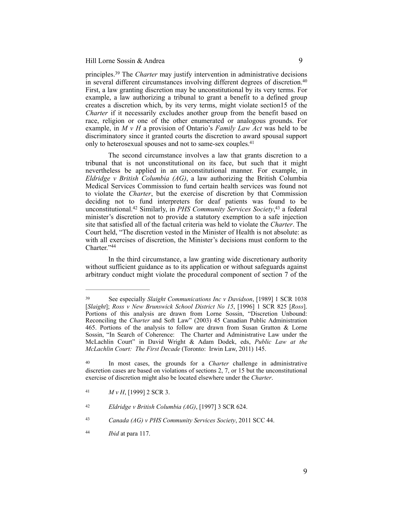principles.<sup>39</sup> The *Charter* may justify intervention in administrative decisions in several different circumstances involving different degrees of discretion.<sup>40</sup> First, a law granting discretion may be unconstitutional by its very terms. For example, a law authorizing a tribunal to grant a benefit to a defined group creates a discretion which, by its very terms, might violate section15 of the *Charter* if it necessarily excludes another group from the benefit based on race, religion or one of the other enumerated or analogous grounds. For example, in *M v H* a provision of Ontario's *Family Law Act* was held to be discriminatory since it granted courts the discretion to award spousal support only to heterosexual spouses and not to same-sex couples.<sup>41</sup>

The second circumstance involves a law that grants discretion to a tribunal that is not unconstitutional on its face, but such that it might nevertheless be applied in an unconstitutional manner. For example, in *Eldridge v British Columbia (AG)*, a law authorizing the British Columbia Medical Services Commission to fund certain health services was found not to violate the *Charter*, but the exercise of discretion by that Commission deciding not to fund interpreters for deaf patients was found to be unconstitutional.<sup>42</sup> Similarly, in *PHS Community Services Society*,<sup>43</sup> a federal minister's discretion not to provide a statutory exemption to a safe injection site that satisfied all of the factual criteria was held to violate the *Charter*. The Court held, "The discretion vested in the Minister of Health is not absolute: as with all exercises of discretion, the Minister's decisions must conform to the Charter."44

In the third circumstance, a law granting wide discretionary authority without sufficient guidance as to its application or without safeguards against arbitrary conduct might violate the procedural component of section 7 of the

See especially *Slaight Communications Inc v Davidson*, [1989] 1 SCR 1038 <sup>39</sup> [*Slaight*]; *Ross v New Brunswick School District No 15*, [1996] 1 SCR 825 [*Ross*]. Portions of this analysis are drawn from Lorne Sossin, "Discretion Unbound: Reconciling the *Charter* and Soft Law" (2003) 45 Canadian Public Administration 465. Portions of the analysis to follow are drawn from Susan Gratton & Lorne Sossin, "In Search of Coherence: The Charter and Administrative Law under the McLachlin Court" in David Wright & Adam Dodek, eds, *Public Law at the McLachlin Court: The First Decade* (Toronto: Irwin Law, 2011) 145.

<sup>&</sup>lt;sup>40</sup> In most cases, the grounds for a *Charter* challenge in administrative discretion cases are based on violations of sections 2, 7, or 15 but the unconstitutional exercise of discretion might also be located elsewhere under the *Charter*.

<sup>41</sup>  $M v H$ , [1999] 2 SCR 3.

<sup>&</sup>lt;sup>42</sup> *Eldridge v British Columbia (AG)*, [1997] 3 SCR 624.

<sup>&</sup>lt;sup>43</sup> *Canada (AG) v PHS Community Services Society*, 2011 SCC 44.

*Ibid* at para 117. <sup>44</sup>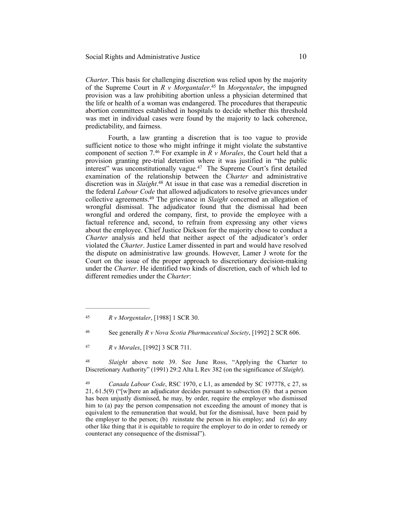*Charter*. This basis for challenging discretion was relied upon by the majority of the Supreme Court in *R v Morgantaler*.<sup>45</sup> In *Morgentaler*, the impugned provision was a law prohibiting abortion unless a physician determined that the life or health of a woman was endangered. The procedures that therapeutic abortion committees established in hospitals to decide whether this threshold was met in individual cases were found by the majority to lack coherence, predictability, and fairness.

Fourth, a law granting a discretion that is too vague to provide sufficient notice to those who might infringe it might violate the substantive component of section  $7.46$  For example in  $\overline{R}$  v Morales, the Court held that a provision granting pre-trial detention where it was justified in "the public interest" was unconstitutionally vague.<sup>47</sup> The Supreme Court's first detailed examination of the relationship between the *Charter* and administrative discretion was in *Slaight*.<sup>48</sup> At issue in that case was a remedial discretion in the federal *Labour Code* that allowed adjudicators to resolve grievances under collective agreements.<sup>49</sup> The grievance in *Slaight* concerned an allegation of wrongful dismissal. The adjudicator found that the dismissal had been wrongful and ordered the company, first, to provide the employee with a factual reference and, second, to refrain from expressing any other views about the employee. Chief Justice Dickson for the majority chose to conduct a *Charter* analysis and held that neither aspect of the adjudicator's order violated the *Charter*. Justice Lamer dissented in part and would have resolved the dispute on administrative law grounds. However, Lamer J wrote for the Court on the issue of the proper approach to discretionary decision-making under the *Charter*. He identified two kinds of discretion, each of which led to different remedies under the *Charter*:

<sup>48</sup> Slaight above note 39. See June Ross, "Applying the Charter to Discretionary Authority" (1991) 29:2 Alta L Rev 382 (on the significance of *Slaight*).

*R v Morgentaler*, [1988] 1 SCR 30. <sup>45</sup>

See generally *R v Nova Scotia Pharmaceutical Society*, [1992] 2 SCR 606. <sup>46</sup>

*R v Morales*, [1992] 3 SCR 711. <sup>47</sup>

<sup>&</sup>lt;sup>49</sup> *Canada Labour Code*, RSC 1970, c L1, as amended by SC 197778, c 27, ss 21, 61.5(9) ("[w]here an adjudicator decides pursuant to subsection (8) that a person has been unjustly dismissed, he may, by order, require the employer who dismissed him to (a) pay the person compensation not exceeding the amount of money that is equivalent to the remuneration that would, but for the dismissal, have been paid by the employer to the person; (b) reinstate the person in his employ; and (c) do any other like thing that it is equitable to require the employer to do in order to remedy or counteract any consequence of the dismissal").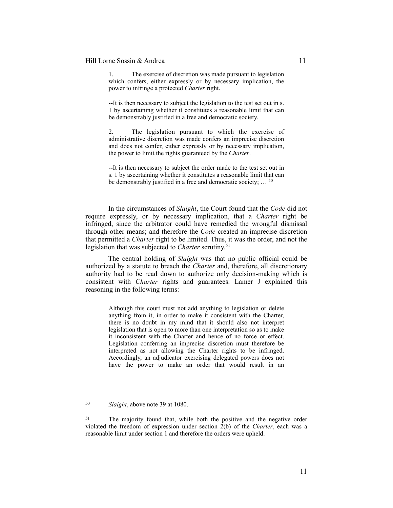The exercise of discretion was made pursuant to legislation which confers, either expressly or by necessary implication, the power to infringe a protected *Charter* right.

--It is then necessary to subject the legislation to the test set out in s. 1 by ascertaining whether it constitutes a reasonable limit that can be demonstrably justified in a free and democratic society.

2. The legislation pursuant to which the exercise of administrative discretion was made confers an imprecise discretion and does not confer, either expressly or by necessary implication, the power to limit the rights guaranteed by the *Charter*.

--It is then necessary to subject the order made to the test set out in s. 1 by ascertaining whether it constitutes a reasonable limit that can be demonstrably justified in a free and democratic society; ... <sup>50</sup>

In the circumstances of *Slaight*, the Court found that the *Code* did not require expressly, or by necessary implication, that a *Charter* right be infringed, since the arbitrator could have remedied the wrongful dismissal through other means; and therefore the *Code* created an imprecise discretion that permitted a *Charter* right to be limited. Thus, it was the order, and not the legislation that was subjected to *Charter* scrutiny.51

The central holding of *Slaight* was that no public official could be authorized by a statute to breach the *Charter* and, therefore, all discretionary authority had to be read down to authorize only decision-making which is consistent with *Charter* rights and guarantees. Lamer J explained this reasoning in the following terms:

> Although this court must not add anything to legislation or delete anything from it, in order to make it consistent with the Charter, there is no doubt in my mind that it should also not interpret legislation that is open to more than one interpretation so as to make it inconsistent with the Charter and hence of no force or effect. Legislation conferring an imprecise discretion must therefore be interpreted as not allowing the Charter rights to be infringed. Accordingly, an adjudicator exercising delegated powers does not have the power to make an order that would result in an

*Slaight*, above note 39 at 1080. <sup>50</sup>

<sup>&</sup>lt;sup>51</sup> The majority found that, while both the positive and the negative order violated the freedom of expression under section 2(b) of the *Charter*, each was a reasonable limit under section 1 and therefore the orders were upheld.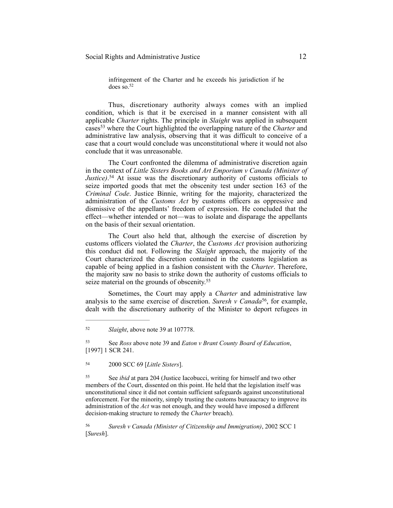infringement of the Charter and he exceeds his jurisdiction if he does so.52

Thus, discretionary authority always comes with an implied condition, which is that it be exercised in a manner consistent with all applicable *Charter* rights. The principle in *Slaight* was applied in subsequent cases<sup>53</sup> where the Court highlighted the overlapping nature of the *Charter* and administrative law analysis, observing that it was difficult to conceive of a case that a court would conclude was unconstitutional where it would not also conclude that it was unreasonable.

The Court confronted the dilemma of administrative discretion again in the context of *Little Sisters Books and Art Emporium v Canada (Minister of Justice*).<sup>54</sup> At issue was the discretionary authority of customs officials to seize imported goods that met the obscenity test under section 163 of the *Criminal Code*. Justice Binnie, writing for the majority, characterized the administration of the *Customs Act* by customs officers as oppressive and dismissive of the appellants' freedom of expression. He concluded that the effect—whether intended or not—was to isolate and disparage the appellants on the basis of their sexual orientation.

The Court also held that, although the exercise of discretion by customs officers violated the *Charter*, the *Customs Act* provision authorizing this conduct did not. Following the *Slaight* approach, the majority of the Court characterized the discretion contained in the customs legislation as capable of being applied in a fashion consistent with the *Charter*. Therefore, the majority saw no basis to strike down the authority of customs officials to seize material on the grounds of obscenity.<sup>55</sup>

Sometimes, the Court may apply a *Charter* and administrative law analysis to the same exercise of discretion. *Suresh v Canada*<sup>56</sup>, for example, dealt with the discretionary authority of the Minister to deport refugees in

 See *Ross* above note 39 and *Eaton v Brant County Board of Education*, 53 [1997] 1 SCR 241.

2000 SCC 69 [*Little Sisters*]. <sup>54</sup>

 See *ibid* at para 204 (Justice Iacobucci, writing for himself and two other 55 members of the Court, dissented on this point. He held that the legislation itself was unconstitutional since it did not contain sufficient safeguards against unconstitutional enforcement. For the minority, simply trusting the customs bureaucracy to improve its administration of the *Act* was not enough, and they would have imposed a different decision-making structure to remedy the *Charter* breach).

*Suresh v Canada (Minister of Citizenship and Immigration)*, 2002 SCC 1 [*Suresh*].

*Slaight*, above note 39 at 107778. <sup>52</sup>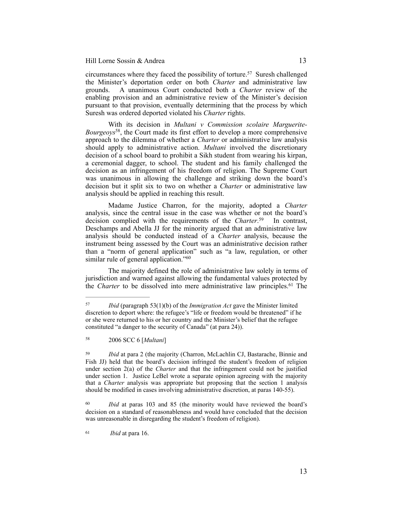circumstances where they faced the possibility of torture.<sup>57</sup> Suresh challenged the Minister's deportation order on both *Charter* and administrative law grounds. A unanimous Court conducted both a *Charter* review of the enabling provision and an administrative review of the Minister's decision pursuant to that provision, eventually determining that the process by which Suresh was ordered deported violated his *Charter* rights.

With its decision in *Multani v Commission scolaire Marguerite-Bourgeoys*<sup>58</sup>, the Court made its first effort to develop a more comprehensive approach to the dilemma of whether a *Charter* or administrative law analysis should apply to administrative action. *Multani* involved the discretionary decision of a school board to prohibit a Sikh student from wearing his kirpan, a ceremonial dagger, to school. The student and his family challenged the decision as an infringement of his freedom of religion. The Supreme Court was unanimous in allowing the challenge and striking down the board's decision but it split six to two on whether a *Charter* or administrative law analysis should be applied in reaching this result.

Madame Justice Charron, for the majority, adopted a *Charter* analysis, since the central issue in the case was whether or not the board's decision complied with the requirements of the *Charter*.<sup>59</sup> In contrast, Deschamps and Abella JJ for the minority argued that an administrative law analysis should be conducted instead of a *Charter* analysis, because the instrument being assessed by the Court was an administrative decision rather than a "norm of general application" such as "a law, regulation, or other similar rule of general application."<sup>60</sup>

The majority defined the role of administrative law solely in terms of jurisdiction and warned against allowing the fundamental values protected by the *Charter* to be dissolved into mere administrative law principles.<sup>61</sup> The

<sup>61</sup> *Ibid* at para 16.

<sup>&</sup>lt;sup>57</sup> *Ibid* (paragraph 53(1)(b) of the *Immigration Act* gave the Minister limited discretion to deport where: the refugee's "life or freedom would be threatened" if he or she were returned to his or her country and the Minister's belief that the refugee constituted "a danger to the security of Canada" (at para 24)).

 <sup>2006</sup> SCC 6 [*Multani*] <sup>58</sup>

<sup>&</sup>lt;sup>59</sup> *Ibid* at para 2 (the majority (Charron, McLachlin CJ, Bastarache, Binnie and Fish JJ) held that the board's decision infringed the student's freedom of religion under section 2(a) of the *Charter* and that the infringement could not be justified under section 1. Justice LeBel wrote a separate opinion agreeing with the majority that a *Charter* analysis was appropriate but proposing that the section 1 analysis should be modified in cases involving administrative discretion, at paras 140-55).

<sup>&</sup>lt;sup>60</sup> *Ibid* at paras 103 and 85 (the minority would have reviewed the board's decision on a standard of reasonableness and would have concluded that the decision was unreasonable in disregarding the student's freedom of religion).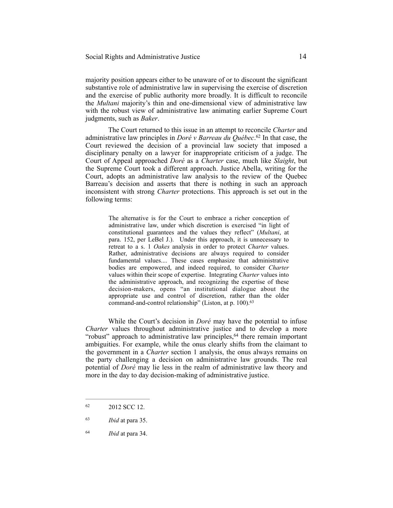majority position appears either to be unaware of or to discount the significant substantive role of administrative law in supervising the exercise of discretion and the exercise of public authority more broadly. It is difficult to reconcile the *Multani* majority's thin and one-dimensional view of administrative law with the robust view of administrative law animating earlier Supreme Court judgments, such as *Baker*.

The Court returned to this issue in an attempt to reconcile *Charter* and administrative law principles in *Doré v Barreau du Québec*.<sup>62</sup> In that case, the Court reviewed the decision of a provincial law society that imposed a disciplinary penalty on a lawyer for inappropriate criticism of a judge. The Court of Appeal approached *Doré* as a *Charter* case, much like *Slaight*, but the Supreme Court took a different approach. Justice Abella, writing for the Court, adopts an administrative law analysis to the review of the Quebec Barreau's decision and asserts that there is nothing in such an approach inconsistent with strong *Charter* protections. This approach is set out in the following terms:

> The alternative is for the Court to embrace a richer conception of administrative law, under which discretion is exercised "in light of constitutional guarantees and the values they reflect" (*Multani*, at para. 152, per LeBel J.). Under this approach, it is unnecessary to retreat to a s. 1 *Oakes* analysis in order to protect *Charter* values. Rather, administrative decisions are always required to consider fundamental values.... These cases emphasize that administrative bodies are empowered, and indeed required, to consider *Charter* values within their scope of expertise. Integrating *Charter* values into the administrative approach, and recognizing the expertise of these decision-makers, opens "an institutional dialogue about the appropriate use and control of discretion, rather than the older command-and-control relationship" (Liston, at p. 100).<sup>63</sup>

While the Court's decision in *Doré* may have the potential to infuse *Charter* values throughout administrative justice and to develop a more "robust" approach to administrative law principles,  $64$  there remain important ambiguities. For example, while the onus clearly shifts from the claimant to the government in a *Charter* section 1 analysis, the onus always remains on the party challenging a decision on administrative law grounds. The real potential of *Doré* may lie less in the realm of administrative law theory and more in the day to day decision-making of administrative justice.

<sup>62 2012</sup> SCC 12.

*Ibid* at para 35. <sup>63</sup>

*Ibid* at para 34. <sup>64</sup>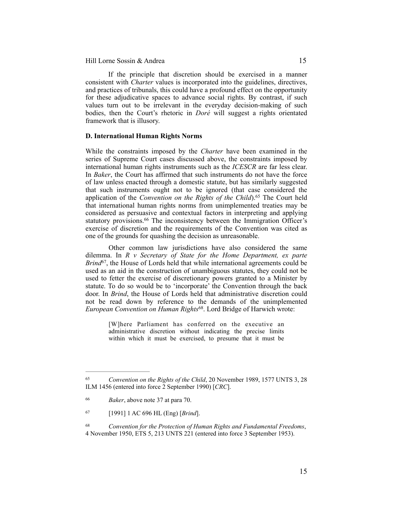If the principle that discretion should be exercised in a manner consistent with *Charter* values is incorporated into the guidelines, directives, and practices of tribunals, this could have a profound effect on the opportunity for these adjudicative spaces to advance social rights. By contrast, if such values turn out to be irrelevant in the everyday decision-making of such bodies, then the Court's rhetoric in *Doré* will suggest a rights orientated framework that is illusory.

#### **D. International Human Rights Norms**

While the constraints imposed by the *Charter* have been examined in the series of Supreme Court cases discussed above, the constraints imposed by international human rights instruments such as the *ICESCR* are far less clear. In *Baker*, the Court has affirmed that such instruments do not have the force of law unless enacted through a domestic statute, but has similarly suggested that such instruments ought not to be ignored (that case considered the application of the *Convention on the Rights of the Child*).<sup>65</sup> The Court held that international human rights norms from unimplemented treaties may be considered as persuasive and contextual factors in interpreting and applying statutory provisions.<sup>66</sup> The inconsistency between the Immigration Officer's exercise of discretion and the requirements of the Convention was cited as one of the grounds for quashing the decision as unreasonable.

Other common law jurisdictions have also considered the same dilemma. In *R v Secretary of State for the Home Department, ex parte Brind*<sup>67</sup>, the House of Lords held that while international agreements could be used as an aid in the construction of unambiguous statutes, they could not be used to fetter the exercise of discretionary powers granted to a Minister by statute. To do so would be to 'incorporate' the Convention through the back door. In *Brind*, the House of Lords held that administrative discretion could not be read down by reference to the demands of the unimplemented *European Convention on Human Rights*<sup>68</sup>. Lord Bridge of Harwich wrote:

> [W]here Parliament has conferred on the executive an administrative discretion without indicating the precise limits within which it must be exercised, to presume that it must be

<sup>&</sup>lt;sup>65</sup> Convention on the Rights of the Child, 20 November 1989, 1577 UNTS 3, 28 ILM 1456 (entered into force 2 September 1990) [*CRC*].

*Baker*, above note 37 at para 70. <sup>66</sup>

 <sup>[1991] 1</sup> AC 696 HL (Eng) [*Brind*]. <sup>67</sup>

*Convention for the Protection of Human Rights and Fundamental Freedoms*, 68 4 November 1950, ETS 5, 213 UNTS 221 (entered into force 3 September 1953).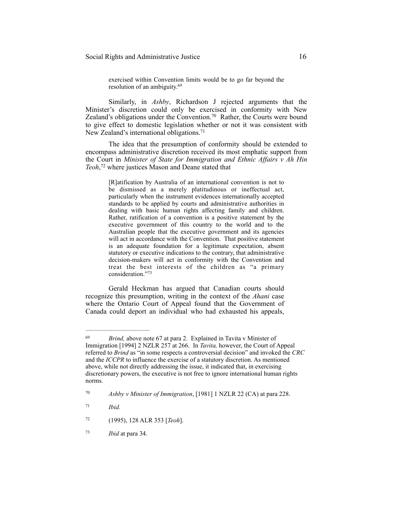exercised within Convention limits would be to go far beyond the resolution of an ambiguity.69

Similarly, in *Ashby*, Richardson J rejected arguments that the Minister's discretion could only be exercised in conformity with New Zealand's obligations under the Convention.<sup>70</sup> Rather, the Courts were bound to give effect to domestic legislation whether or not it was consistent with New Zealand's international obligations.<sup>71</sup>

The idea that the presumption of conformity should be extended to encompass administrative discretion received its most emphatic support from the Court in *Minister of State for Immigration and Ethnic Affairs v Ah Hin Teoh*, <sup>72</sup> where justices Mason and Deane stated that

> [R]atification by Australia of an international convention is not to be dismissed as a merely platitudinous or ineffectual act, particularly when the instrument evidences internationally accepted standards to be applied by courts and administrative authorities in dealing with basic human rights affecting family and children. Rather, ratification of a convention is a positive statement by the executive government of this country to the world and to the Australian people that the executive government and its agencies will act in accordance with the Convention. That positive statement is an adequate foundation for a legitimate expectation, absent statutory or executive indications to the contrary, that administrative decision-makers will act in conformity with the Convention and treat the best interests of the children as "a primary consideration."73

Gerald Heckman has argued that Canadian courts should recognize this presumption, writing in the context of the *Ahani* case where the Ontario Court of Appeal found that the Government of Canada could deport an individual who had exhausted his appeals.

<sup>&</sup>lt;sup>69</sup> *Brind, above note 67 at para 2.* Explained in Tavita v Minister of Immigration [1994] 2 NZLR 257 at 266. In *Tavita,* however, the Court of Appeal referred to *Brind* as "in some respects a controversial decision" and invoked the *CRC*  and the *ICCPR* to influence the exercise of a statutory discretion. As mentioned above, while not directly addressing the issue, it indicated that, in exercising discretionary powers, the executive is not free to ignore international human rights norms.

*Ashby v Minister of Immigration*, [1981] 1 NZLR 22 (CA) at para 228. 70

*Ibid.* <sup>71</sup>

 <sup>(1995), 128</sup> ALR 353 [*Teoh*]. <sup>72</sup>

*Ibid* at para 34. <sup>73</sup>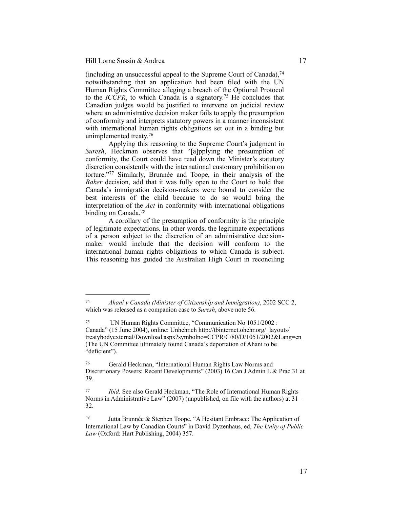(including an unsuccessful appeal to the Supreme Court of Canada), $74$ notwithstanding that an application had been filed with the UN Human Rights Committee alleging a breach of the Optional Protocol to the *ICCPR*, to which Canada is a signatory.<sup>75</sup> He concludes that Canadian judges would be justified to intervene on judicial review where an administrative decision maker fails to apply the presumption of conformity and interprets statutory powers in a manner inconsistent with international human rights obligations set out in a binding but unimplemented treaty.76

Applying this reasoning to the Supreme Court's judgment in *Suresh*, Heckman observes that "[a]pplying the presumption of conformity, the Court could have read down the Minister's statutory discretion consistently with the international customary prohibition on torture."<sup>77</sup> Similarly, Brunnée and Toope, in their analysis of the *Baker* decision, add that it was fully open to the Court to hold that Canada's immigration decision-makers were bound to consider the best interests of the child because to do so would bring the interpretation of the *Act* in conformity with international obligations binding on Canada.<sup>78</sup>

A corollary of the presumption of conformity is the principle of legitimate expectations. In other words, the legitimate expectations of a person subject to the discretion of an administrative decisionmaker would include that the decision will conform to the international human rights obligations to which Canada is subject. This reasoning has guided the Australian High Court in reconciling

<sup>&</sup>lt;sup>74</sup> *Ahani v Canada (Minister of Citizenship and Immigration)*, 2002 SCC 2, which was released as a companion case to *Suresh*, above note 56.

UN Human Rights Committee, "Communication No 1051/2002 : 75 Canada" (15 June 2004), online: Unhchr.ch http://tbinternet.ohchr.org/\_layouts/ treatybodyexternal/Download.aspx?symbolno=CCPR/C/80/D/1051/2002&Lang=en (The UN Committee ultimately found Canada's deportation of Ahani to be "deficient").

Gerald Heckman, "International Human Rights Law Norms and 76 Discretionary Powers: Recent Developments" (2003) 16 Can J Admin L & Prac 31 at 39.

*Ibid.* See also Gerald Heckman, "The Role of International Human Rights Norms in Administrative Law" (2007) (unpublished, on file with the authors) at 31– 32.

Jutta Brunnée & Stephen Toope, "A Hesitant Embrace: The Application of <sup>78</sup> International Law by Canadian Courts" in David Dyzenhaus, ed, *The Unity of Public Law* (Oxford: Hart Publishing, 2004) 357.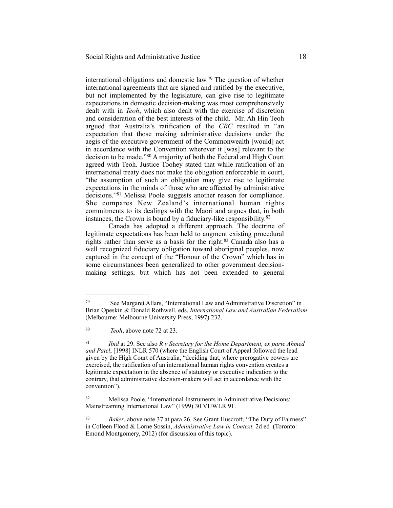international obligations and domestic law.<sup>79</sup> The question of whether international agreements that are signed and ratified by the executive, but not implemented by the legislature, can give rise to legitimate expectations in domestic decision-making was most comprehensively dealt with in *Teoh*, which also dealt with the exercise of discretion and consideration of the best interests of the child. Mr. Ah Hin Teoh argued that Australia's ratification of the *CRC* resulted in "an expectation that those making administrative decisions under the aegis of the executive government of the Commonwealth [would] act in accordance with the Convention wherever it [was] relevant to the decision to be made."<sup>80</sup> A majority of both the Federal and High Court agreed with Teoh. Justice Toohey stated that while ratification of an international treaty does not make the obligation enforceable in court, "the assumption of such an obligation may give rise to legitimate expectations in the minds of those who are affected by administrative decisions."<sup>81</sup> Melissa Poole suggests another reason for compliance. She compares New Zealand's international human rights commitments to its dealings with the Maori and argues that, in both instances, the Crown is bound by a fiduciary-like responsibility.82

Canada has adopted a different approach. The doctrine of legitimate expectations has been held to augment existing procedural rights rather than serve as a basis for the right. $83$  Canada also has a well recognized fiduciary obligation toward aboriginal peoples, now captured in the concept of the "Honour of the Crown" which has in some circumstances been generalized to other government decisionmaking settings, but which has not been extended to general

See Margaret Allars, "International Law and Administrative Discretion" in 79 Brian Opeskin & Donald Rothwell, eds, *International Law and Australian Federalism* (Melbourne: Melbourne University Press, 1997) 232.

<sup>&</sup>lt;sup>80</sup> *Teoh*, above note 72 at 23.

*Ibid* at 29. See also *R v Secretary for the Home Department, ex parte Ahmed* <sup>81</sup> *and Patel*, [1998] INLR 570 (where the English Court of Appeal followed the lead given by the High Court of Australia, "deciding that, where prerogative powers are exercised, the ratification of an international human rights convention creates a legitimate expectation in the absence of statutory or executive indication to the contrary, that administrative decision-makers will act in accordance with the convention").

<sup>82</sup> Melissa Poole, "International Instruments in Administrative Decisions: Mainstreaming International Law" (1999) 30 VUWLR 91.

<sup>&</sup>lt;sup>83</sup> *Baker*, above note 37 at para 26. See Grant Huscroft, "The Duty of Fairness" in Colleen Flood & Lorne Sossin, *Administrative Law in Context,* 2d ed (Toronto: Emond Montgomery, 2012) (for discussion of this topic).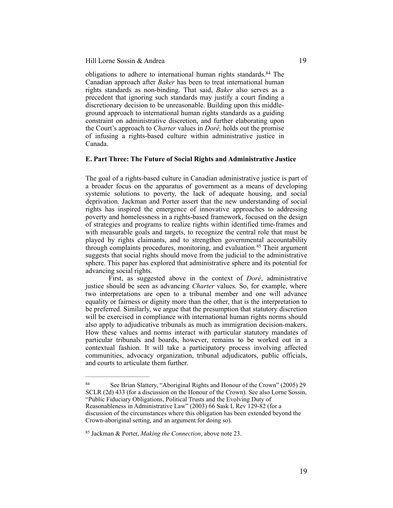obligations to adhere to international human rights standards.<sup>84</sup> The Canadian approach after *Baker* has been to treat international human rights standards as non-binding. That said, *Baker* also serves as a precedent that ignoring such standards may justify a court finding a discretionary decision to be unreasonable. Building upon this middleground approach to international human rights standards as a guiding constraint on administrative discretion, and further elaborating upon the Court's approach to *Charter* values in *Doré,* holds out the promise of infusing a rights-based culture within administrative justice in Canada.

#### **E. Part Three: The Future of Social Rights and Administrative Justice**

The goal of a rights-based culture in Canadian administrative justice is part of a broader focus on the apparatus of government as a means of developing systemic solutions to poverty, the lack of adequate housing, and social deprivation. Jackman and Porter assert that the new understanding of social rights has inspired the emergence of innovative approaches to addressing poverty and homelessness in a rights-based framework, focused on the design of strategies and programs to realize rights within identified time-frames and with measurable goals and targets, to recognize the central role that must be played by rights claimants, and to strengthen governmental accountability through complaints procedures, monitoring, and evaluation. $85$  Their argument suggests that social rights should move from the judicial to the administrative sphere. This paper has explored that administrative sphere and its potential for advancing social rights.

First, as suggested above in the context of *Doré*, administrative justice should be seen as advancing *Charter* values. So, for example, where two interpretations are open to a tribunal member and one will advance equality or fairness or dignity more than the other, that is the interpretation to be preferred. Similarly, we argue that the presumption that statutory discretion will be exercised in compliance with international human rights norms should also apply to adjudicative tribunals as much as immigration decision-makers. How these values and norms interact with particular statutory mandates of particular tribunals and boards, however, remains to be worked out in a contextual fashion. It will take a participatory process involving affected communities, advocacy organization, tribunal adjudicators, public officials, and courts to articulate them further.

<sup>&</sup>lt;sup>84</sup> See Brian Slattery, "Aboriginal Rights and Honour of the Crown" (2005) 29 SCLR (2d) 433 (for a discussion on the Honour of the Crown). See also Lorne Sossin, "Public Fiduciary Obligations, Political Trusts and the Evolving Duty of Reasonableness in Administrative Law" (2003) 66 Sask L Rev 129-82 (for a discussion of the circumstances where this obligation has been extended beyond the Crown-aboriginal setting, and an argument for doing so).

<sup>85</sup> Jackman & Porter, *Making the Connection*, above note 23.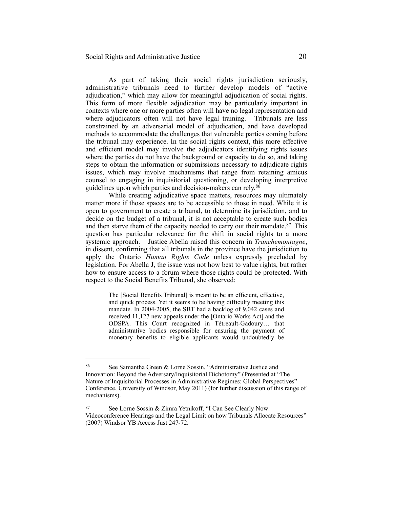As part of taking their social rights jurisdiction seriously, administrative tribunals need to further develop models of "active adjudication," which may allow for meaningful adjudication of social rights. This form of more flexible adjudication may be particularly important in contexts where one or more parties often will have no legal representation and where adjudicators often will not have legal training. Tribunals are less constrained by an adversarial model of adjudication, and have developed methods to accommodate the challenges that vulnerable parties coming before the tribunal may experience. In the social rights context, this more effective and efficient model may involve the adjudicators identifying rights issues where the parties do not have the background or capacity to do so, and taking steps to obtain the information or submissions necessary to adjudicate rights issues, which may involve mechanisms that range from retaining amicus counsel to engaging in inquisitorial questioning, or developing interpretive guidelines upon which parties and decision-makers can rely.<sup>86</sup>

While creating adjudicative space matters, resources may ultimately matter more if those spaces are to be accessible to those in need. While it is open to government to create a tribunal, to determine its jurisdiction, and to decide on the budget of a tribunal, it is not acceptable to create such bodies and then starve them of the capacity needed to carry out their mandate.  $87$  This question has particular relevance for the shift in social rights to a more systemic approach. Justice Abella raised this concern in *Tranchemontagne*, in dissent, confirming that all tribunals in the province have the jurisdiction to apply the Ontario *Human Rights Code* unless expressly precluded by legislation. For Abella J, the issue was not how best to value rights, but rather how to ensure access to a forum where those rights could be protected. With respect to the Social Benefits Tribunal, she observed:

> The [Social Benefits Tribunal] is meant to be an efficient, effective, and quick process. Yet it seems to be having difficulty meeting this mandate. In 2004-2005, the SBT had a backlog of 9,042 cases and received 11,127 new appeals under the [Ontario Works Act] and the ODSPA. This Court recognized in Tétreault-Gadoury… that administrative bodies responsible for ensuring the payment of monetary benefits to eligible applicants would undoubtedly be

See Samantha Green & Lorne Sossin, "Administrative Justice and 86 Innovation: Beyond the Adversary/Inquisitorial Dichotomy" (Presented at "The Nature of Inquisitorial Processes in Administrative Regimes: Global Perspectives" Conference, University of Windsor, May 2011) (for further discussion of this range of mechanisms).

<sup>87</sup> See Lorne Sossin & Zimra Yetnikoff, "I Can See Clearly Now: Videoconference Hearings and the Legal Limit on how Tribunals Allocate Resources" (2007) Windsor YB Access Just 247-72.